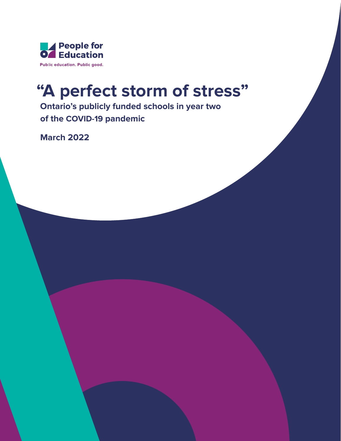

# **"A perfect storm of stress"**

**Ontario's publicly funded schools in year two of the COVID-19 pandemic**

**March 2022**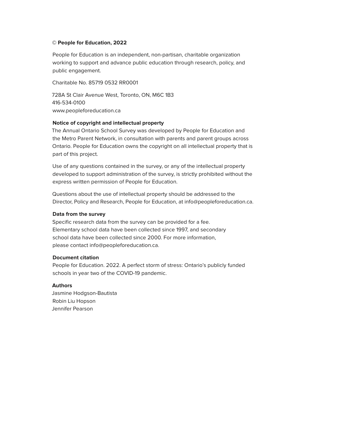#### **© People for Education, 2022**

People for Education is an independent, non-partisan, charitable organization working to support and advance public education through research, policy, and public engagement.

Charitable No. 85719 0532 RR0001

728A St Clair Avenue West, Toronto, ON, M6C 1B3 416-534-0100 www.peopleforeducation.ca

#### **Notice of copyright and intellectual property**

The Annual Ontario School Survey was developed by People for Education and the Metro Parent Network, in consultation with parents and parent groups across Ontario. People for Education owns the copyright on all intellectual property that is part of this project.

Use of any questions contained in the survey, or any of the intellectual property developed to support administration of the survey, is strictly prohibited without the express written permission of People for Education.

Questions about the use of intellectual property should be addressed to the Director, Policy and Research, People for Education, at info@peopleforeducation.ca.

#### **Data from the survey**

Specific research data from the survey can be provided for a fee. Elementary school data have been collected since 1997, and secondary school data have been collected since 2000. For more information, please contact info@peopleforeducation.ca.

#### **Document citation**

People for Education. 2022. A perfect storm of stress: Ontario's publicly funded schools in year two of the COVID-19 pandemic.

#### **Authors**

Jasmine Hodgson-Bautista Robin Liu Hopson Jennifer Pearson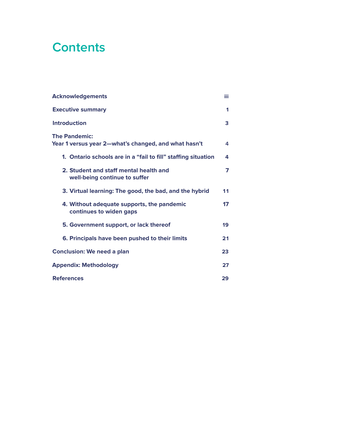## **Contents**

| <b>Acknowledgements</b>                                                      | iii |
|------------------------------------------------------------------------------|-----|
| <b>Executive summary</b>                                                     | 1   |
| <b>Introduction</b>                                                          | 3   |
| <b>The Pandemic:</b><br>Year 1 versus year 2-what's changed, and what hasn't | 4   |
| 1. Ontario schools are in a "fail to fill" staffing situation                | 4   |
| 2. Student and staff mental health and<br>well-being continue to suffer      | 7   |
| 3. Virtual learning: The good, the bad, and the hybrid                       | 11  |
| 4. Without adequate supports, the pandemic<br>continues to widen gaps        | 17  |
| 5. Government support, or lack thereof                                       | 19  |
| 6. Principals have been pushed to their limits                               | 21  |
| <b>Conclusion: We need a plan</b>                                            | 23  |
| <b>Appendix: Methodology</b>                                                 | 27  |
| <b>References</b>                                                            | 29  |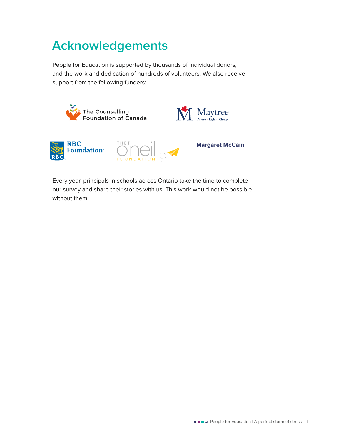## <span id="page-3-0"></span>**Acknowledgements**

People for Education is supported by thousands of individual donors, and the work and dedication of hundreds of volunteers. We also receive support from the following funders:



Every year, principals in schools across Ontario take the time to complete our survey and share their stories with us. This work would not be possible without them.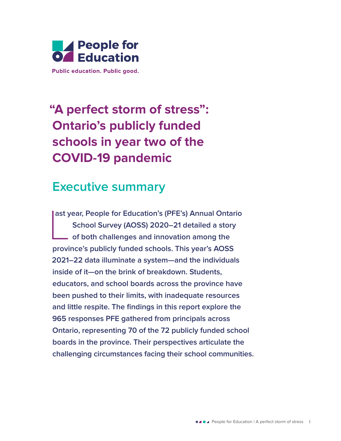<span id="page-4-0"></span>

## **"A perfect storm of stress": Ontario's publicly funded schools in year two of the COVID-19 pandemic**

## **Executive summary**

ast year, People for Education's (PFE's) Annual Ontario<br>
School Survey (AOSS) 2020–21 detailed a story<br>
of both challenges and innovation among the<br> **Province's publicly funded schools. This year's AOSS School Survey (AOSS) 2020–21 detailed a story of both challenges and innovation among the province's publicly funded schools. This year's AOSS 2021–22 data illuminate a system—and the individuals inside of it—on the brink of breakdown. Students, educators, and school boards across the province have been pushed to their limits, with inadequate resources and little respite. The findings in this report explore the 965 responses PFE gathered from principals across Ontario, representing 70 of the 72 publicly funded school boards in the province. Their perspectives articulate the challenging circumstances facing their school communities.**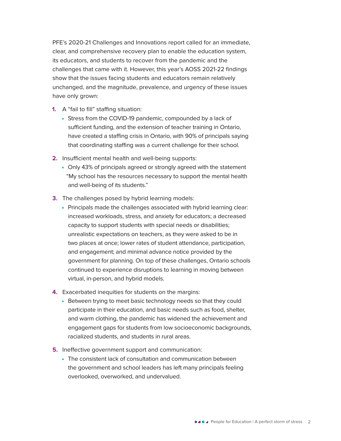PFE's 2020-21 Challenges and Innovations report called for an immediate, clear, and comprehensive recovery plan to enable the education system, its educators, and students to recover from the pandemic and the challenges that came with it. However, this year's AOSS 2021-22 findings show that the issues facing students and educators remain relatively unchanged, and the magnitude, prevalence, and urgency of these issues have only grown:

- **1.** A "fail to fill" staffing situation:
	- Stress from the COVID-19 pandemic, compounded by a lack of sufficient funding, and the extension of teacher training in Ontario, have created a staffing crisis in Ontario, with 90% of principals saying that coordinating staffing was a current challenge for their school.
- **2.** Insufficient mental health and well-being supports:
	- Only 43% of principals agreed or strongly agreed with the statement "My school has the resources necessary to support the mental health and well-being of its students."
- **3.** The challenges posed by hybrid learning models:
	- Principals made the challenges associated with hybrid learning clear: increased workloads, stress, and anxiety for educators; a decreased capacity to support students with special needs or disabilities; unrealistic expectations on teachers, as they were asked to be in two places at once; lower rates of student attendance, participation, and engagement; and minimal advance notice provided by the government for planning. On top of these challenges, Ontario schools continued to experience disruptions to learning in moving between virtual, in-person, and hybrid models.
- **4.** Exacerbated inequities for students on the margins:
	- Between trying to meet basic technology needs so that they could participate in their education, and basic needs such as food, shelter, and warm clothing, the pandemic has widened the achievement and engagement gaps for students from low socioeconomic backgrounds, racialized students, and students in rural areas.
- **5.** Ineffective government support and communication:
	- The consistent lack of consultation and communication between the government and school leaders has left many principals feeling overlooked, overworked, and undervalued.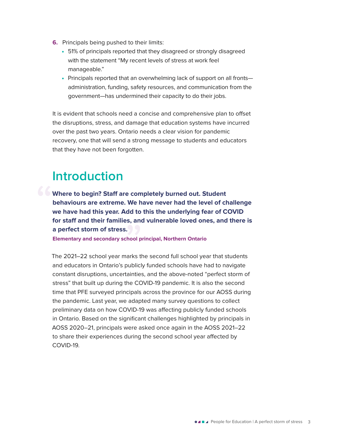- <span id="page-6-0"></span>**6.** Principals being pushed to their limits:
	- 51% of principals reported that they disagreed or strongly disagreed with the statement "My recent levels of stress at work feel manageable."
	- Principals reported that an overwhelming lack of support on all frontsadministration, funding, safety resources, and communication from the government—has undermined their capacity to do their jobs.

It is evident that schools need a concise and comprehensive plan to offset the disruptions, stress, and damage that education systems have incurred over the past two years. Ontario needs a clear vision for pandemic recovery, one that will send a strong message to students and educators that they have not been forgotten.

## **Introduction**

**Where to begin? Staff are completely burned out. Student behaviours are extreme. We have never had the level of challenge we have had this year. Add to this the underlying fear of COVID for staff and their families, and vulnerable loved ones, and there is a perfect storm of stress.** 

**Elementary and secondary school principal, Northern Ontario**

The 2021–22 school year marks the second full school year that students and educators in Ontario's publicly funded schools have had to navigate constant disruptions, uncertainties, and the above-noted "perfect storm of stress" that built up during the COVID-19 pandemic. It is also the second time that PFE surveyed principals across the province for our AOSS during the pandemic. Last year, we adapted many survey questions to collect preliminary data on how COVID-19 was affecting publicly funded schools in Ontario. Based on the significant challenges highlighted by principals in AOSS 2020–21, principals were asked once again in the AOSS 2021–22 to share their experiences during the second school year affected by COVID-19.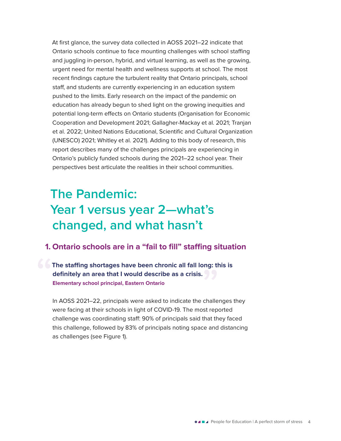<span id="page-7-0"></span>At first glance, the survey data collected in AOSS 2021–22 indicate that Ontario schools continue to face mounting challenges with school staffing and juggling in-person, hybrid, and virtual learning, as well as the growing, urgent need for mental health and wellness supports at school. The most recent findings capture the turbulent reality that Ontario principals, school staff, and students are currently experiencing in an education system pushed to the limits. Early research on the impact of the pandemic on education has already begun to shed light on the growing inequities and potential long-term effects on Ontario students (Organisation for Economic Cooperation and Development 2021; Gallagher-Mackay et al. 2021; Tranjan et al. 2022; United Nations Educational, Scientific and Cultural Organization (UNESCO) 2021; Whitley et al. 2021). Adding to this body of research, this report describes many of the challenges principals are experiencing in Ontario's publicly funded schools during the 2021–22 school year. Their perspectives best articulate the realities in their school communities.

## **The Pandemic: Year 1 versus year 2—what's changed, and what hasn't**

### **1. Ontario schools are in a "fail to fill" staffing situation**

**The staffing shortages have been chronic all fall long: this is definitely an area that I would describe as a crisis. Elementary school principal, Eastern Ontario**

In AOSS 2021–22, principals were asked to indicate the challenges they were facing at their schools in light of COVID-19. The most reported challenge was coordinating staff: 90% of principals said that they faced this challenge, followed by 83% of principals noting space and distancing as challenges (see Figure 1).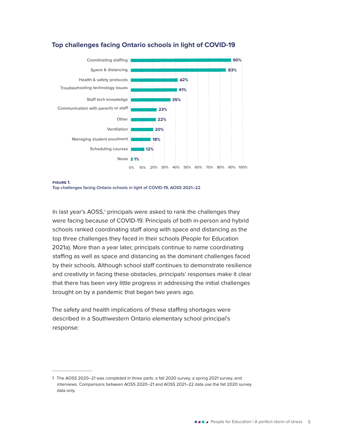

#### **Top challenges facing Ontario schools in light of COVID-19**

**Figure 1.**

**Top challenges facing Ontario schools in light of COVID-19, AOSS 2021–22**

In last year's AOSS,<sup>1</sup> principals were asked to rank the challenges they were facing because of COVID-19. Principals of both in-person and hybrid schools ranked coordinating staff along with space and distancing as the top three challenges they faced in their schools (People for Education 2021a). More than a year later, principals continue to name coordinating staffing as well as space and distancing as the dominant challenges faced by their schools. Although school staff continues to demonstrate resilience and creativity in facing these obstacles, principals' responses make it clear that there has been very little progress in addressing the initial challenges brought on by a pandemic that began two years ago.

The safety and health implications of these staffing shortages were described in a Southwestern Ontario elementary school principal's response:

<sup>1</sup> The AOSS 2020–21 was completed in three parts: a fall 2020 survey, a spring 2021 survey, and interviews. Comparisons between AOSS 2020–21 and AOSS 2021–22 data use the fall 2020 survey data only.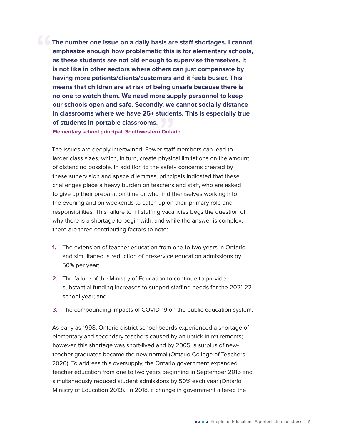**The number one issue on a daily basis are staff shortages. I cannot emphasize enough how problematic this is for elementary schools, as these students are not old enough to supervise themselves. It is not like in other sectors where others can just compensate by having more patients/clients/customers and it feels busier. This means that children are at risk of being unsafe because there is no one to watch them. We need more supply personnel to keep our schools open and safe. Secondly, we cannot socially distance in classrooms where we have 25+ students. This is especially true of students in portable classrooms. Elementary school principal, Southwestern Ontario**

The issues are deeply intertwined. Fewer staff members can lead to larger class sizes, which, in turn, create physical limitations on the amount of distancing possible. In addition to the safety concerns created by these supervision and space dilemmas, principals indicated that these challenges place a heavy burden on teachers and staff, who are asked to give up their preparation time or who find themselves working into the evening and on weekends to catch up on their primary role and responsibilities. This failure to fill staffing vacancies begs the question of why there is a shortage to begin with, and while the answer is complex, there are three contributing factors to note:

- **1.** The extension of teacher education from one to two years in Ontario and simultaneous reduction of preservice education admissions by 50% per year;
- **2.** The failure of the Ministry of Education to continue to provide substantial funding increases to support staffing needs for the 2021-22 school year; and
- **3.** The compounding impacts of COVID-19 on the public education system.

As early as 1998, Ontario district school boards experienced a shortage of elementary and secondary teachers caused by an uptick in retirements; however, this shortage was short-lived and by 2005, a surplus of newteacher graduates became the new normal (Ontario College of Teachers 2020). To address this oversupply, the Ontario government expanded teacher education from one to two years beginning in September 2015 and simultaneously reduced student admissions by 50% each year (Ontario Ministry of Education 2013).. In 2018, a change in government altered the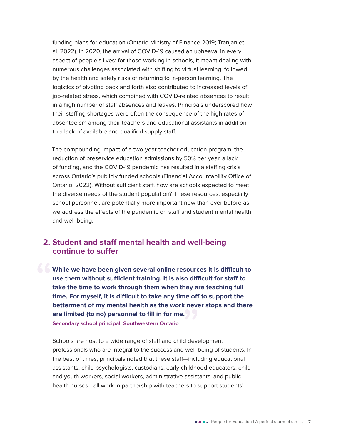<span id="page-10-0"></span>funding plans for education (Ontario Ministry of Finance 2019; Tranjan et al. 2022). In 2020, the arrival of COVID-19 caused an upheaval in every aspect of people's lives; for those working in schools, it meant dealing with numerous challenges associated with shifting to virtual learning, followed by the health and safety risks of returning to in-person learning. The logistics of pivoting back and forth also contributed to increased levels of job-related stress, which combined with COVID-related absences to result in a high number of staff absences and leaves. Principals underscored how their staffing shortages were often the consequence of the high rates of absenteeism among their teachers and educational assistants in addition to a lack of available and qualified supply staff.

The compounding impact of a two-year teacher education program, the reduction of preservice education admissions by 50% per year, a lack of funding, and the COVID-19 pandemic has resulted in a staffing crisis across Ontario's publicly funded schools (Financial Accountability Office of Ontario, 2022). Without sufficient staff, how are schools expected to meet the diverse needs of the student population? These resources, especially school personnel, are potentially more important now than ever before as we address the effects of the pandemic on staff and student mental health and well-being.

### **2. Student and staff mental health and well-being continue to suffer**

**Mhile we have been given several online resources it is difficult to use them without sufficient training. It is also difficult for staff to take the time to work through them when they are teaching full time. For myself, it is difficult to take any time off to support the betterment of my mental health as the work never stops and there are limited (to no) personnel to fill in for me. Secondary school principal, Southwestern Ontario**

Schools are host to a wide range of staff and child development professionals who are integral to the success and well-being of students. In the best of times, principals noted that these staff—including educational assistants, child psychologists, custodians, early childhood educators, child and youth workers, social workers, administrative assistants, and public health nurses—all work in partnership with teachers to support students'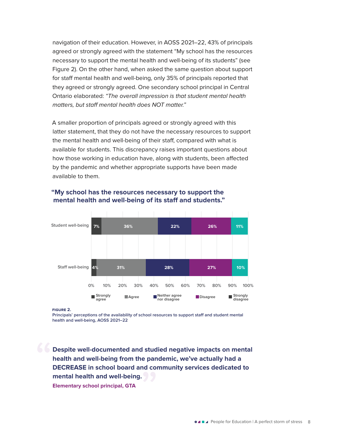navigation of their education. However, in AOSS 2021–22, 43% of principals agreed or strongly agreed with the statement "My school has the resources necessary to support the mental health and well-being of its students" (see Figure 2). On the other hand, when asked the same question about support for staff mental health and well-being, only 35% of principals reported that they agreed or strongly agreed. One secondary school principal in Central Ontario elaborated: "The overall impression is that student mental health matters, but staff mental health does NOT matter."

A smaller proportion of principals agreed or strongly agreed with this latter statement, that they do not have the necessary resources to support the mental health and well-being of their staff, compared with what is available for students. This discrepancy raises important questions about how those working in education have, along with students, been affected by the pandemic and whether appropriate supports have been made available to them.



#### **"My school has the resources necessary to support the mental health and well-being of its staff and students."**

**Figure 2.**

**Principals' perceptions of the availability of school resources to support staff and student mental health and well-being, AOSS 2021–22**

**b Despite well-documented and studied negative impacts on mental health and well-being from the pandemic, we've actually had a DECREASE in school board and community services dedicated to mental health and well-being. Elementary school principal, GTA**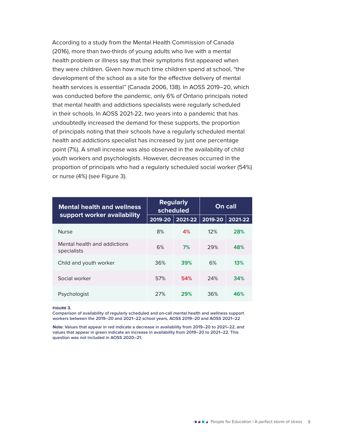According to a study from the Mental Health Commission of Canada (2016), more than two-thirds of young adults who live with a mental health problem or illness say that their symptoms first appeared when they were children. Given how much time children spend at school, "the development of the school as a site for the effective delivery of mental health services is essential" (Canada 2006, 138). In AOSS 2019–20, which was conducted before the pandemic, only 6% of Ontario principals noted that mental health and addictions specialists were regularly scheduled in their schools. In AOSS 2021-22, two years into a pandemic that has undoubtedly increased the demand for these supports, the proportion of principals noting that their schools have a regularly scheduled mental health and addictions specialist has increased by just one percentage point (7%). A small increase was also observed in the availability of child youth workers and psychologists. However, decreases occurred in the proportion of principals who had a regularly scheduled social worker (54%) or nurse (4%) (see Figure 3).

| <b>Mental health and wellness</b><br>support worker availability | <b>Regularly</b><br>scheduled |         | <b>On call</b> |         |
|------------------------------------------------------------------|-------------------------------|---------|----------------|---------|
|                                                                  | 2019-20                       | 2021-22 | 2019-20        | 2021-22 |
| <b>Nurse</b>                                                     | 8%                            | 4%      | 12%            | 28%     |
| Mental health and addictions<br>specialists                      | 6%                            | 7%      | 29%            | 48%     |
| Child and youth worker                                           | 36%                           | 39%     | 6%             | 13%     |
| Social worker                                                    | 57%                           | 54%     | 24%            | 34%     |
| Psychologist                                                     | 27%                           | 29%     | 36%            | 46%     |

**Figure 3.**

**Comparison of availability of regularly scheduled and on-call mental health and wellness support workers between the 2019–20 and 2021–22 school years, AOSS 2019–20 and AOSS 2021–22**

**Note: Values that appear in red indicate a decrease in availability from 2019–20 to 2021–22, and values that appear in green indicate an increase in availability from 2019–20 to 2021–22. This question was not included in AOSS 2020–21.**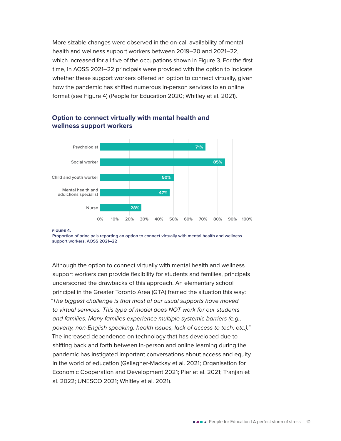More sizable changes were observed in the on-call availability of mental health and wellness support workers between 2019–20 and 2021–22, which increased for all five of the occupations shown in Figure 3. For the first time, in AOSS 2021–22 principals were provided with the option to indicate whether these support workers offered an option to connect virtually, given how the pandemic has shifted numerous in-person services to an online format (see Figure 4) (People for Education 2020; Whitley et al. 2021).



#### **Option to connect virtually with mental health and wellness support workers**

**Figure 4.**

**Proportion of principals reporting an option to connect virtually with mental health and wellness support workers, AOSS 2021–22**

Although the option to connect virtually with mental health and wellness support workers can provide flexibility for students and families, principals underscored the drawbacks of this approach. An elementary school principal in the Greater Toronto Area (GTA) framed the situation this way: "The biggest challenge is that most of our usual supports have moved to virtual services. This type of model does NOT work for our students and families. Many families experience multiple systemic barriers (e.g., poverty, non-English speaking, health issues, lack of access to tech, etc.)." The increased dependence on technology that has developed due to shifting back and forth between in-person and online learning during the pandemic has instigated important conversations about access and equity in the world of education (Gallagher-Mackay et al. 2021; Organisation for Economic Cooperation and Development 2021; Pier et al. 2021; Tranjan et al. 2022; UNESCO 2021; Whitley et al. 2021).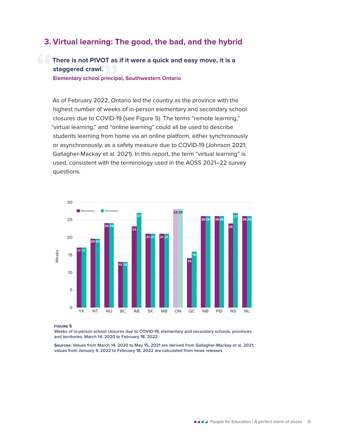### <span id="page-14-0"></span>**3. Virtual learning: The good, the bad, and the hybrid**

**There is not PIVOT as if it were a quick and easy move, it is a staggered crawl.** 

**Elementary school principal, Southwestern Ontario**

As of February 2022, Ontario led the country as the province with the highest number of weeks of in-person elementary and secondary school closures due to COVID-19 (see Figure 5). The terms "remote learning," "virtual learning," and "online learning" could all be used to describe students learning from home via an online platform, either synchronously or asynchronously, as a safety measure due to COVID-19 (Johnson 2021; Gallagher-Mackay et al. 2021). In this report, the term "virtual learning" is used, consistent with the terminology used in the AOSS 2021–22 survey questions.



**Figure 5**

**Weeks of in-person school closures due to COVID-19, elementary and secondary schools, provinces and territories, March 14, 2020 to February 18, 2022**

**Sources: Values from March 14, 2020 to May 15, 2021 are derived from Gallagher-Mackay et al. 2021; values from January 4, 2022 to February 18, 2022 are calculated from news releases**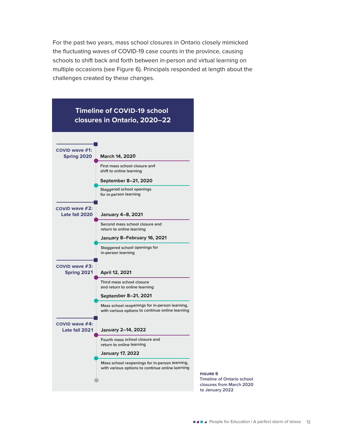For the past two years, mass school closures in Ontario closely mimicked the fluctuating waves of COVID-19 case counts in the province, causing schools to shift back and forth between in-person and virtual learning on multiple occasions (see Figure 6). Principals responded at length about the challenges created by these changes.



**Figure 6 Timeline of Ontario school closures from March 2020 to January 2022**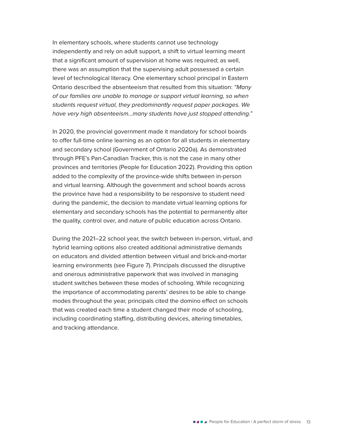In elementary schools, where students cannot use technology independently and rely on adult support, a shift to virtual learning meant that a significant amount of supervision at home was required; as well, there was an assumption that the supervising adult possessed a certain level of technological literacy. One elementary school principal in Eastern Ontario described the absenteeism that resulted from this situation: "Many of our families are unable to manage or support virtual learning, so when students request virtual, they predominantly request paper packages. We have very high absenteeism…many students have just stopped attending."

In 2020, the provincial government made it mandatory for school boards to offer full-time online learning as an option for all students in elementary and secondary school (Government of Ontario 2020a). As demonstrated through PFE's Pan-Canadian Tracker, this is not the case in many other provinces and territories (People for Education 2022). Providing this option added to the complexity of the province-wide shifts between in-person and virtual learning. Although the government and school boards across the province have had a responsibility to be responsive to student need during the pandemic, the decision to mandate virtual learning options for elementary and secondary schools has the potential to permanently alter the quality, control over, and nature of public education across Ontario.

During the 2021–22 school year, the switch between in-person, virtual, and hybrid learning options also created additional administrative demands on educators and divided attention between virtual and brick-and-mortar learning environments (see Figure 7). Principals discussed the disruptive and onerous administrative paperwork that was involved in managing student switches between these modes of schooling. While recognizing the importance of accommodating parents' desires to be able to change modes throughout the year, principals cited the domino effect on schools that was created each time a student changed their mode of schooling, including coordinating staffing, distributing devices, altering timetables, and tracking attendance.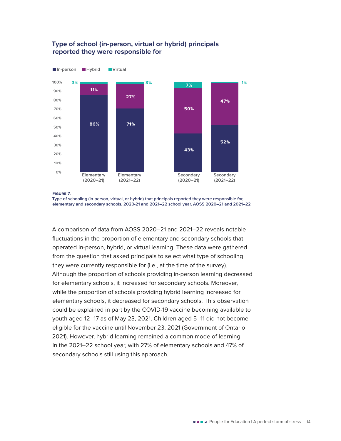

#### **Type of school (in-person, virtual or hybrid) principals reported they were responsible for**

**Figure 7.**

**Type of schooling (in-person, virtual, or hybrid) that principals reported they were responsible for, elementary and secondary schools, 2020-21 and 2021–22 school year, AOSS 2020–21 and 2021–22**

A comparison of data from AOSS 2020–21 and 2021–22 reveals notable fluctuations in the proportion of elementary and secondary schools that operated in-person, hybrid, or virtual learning. These data were gathered from the question that asked principals to select what type of schooling they were currently responsible for (i.e., at the time of the survey). Although the proportion of schools providing in-person learning decreased for elementary schools, it increased for secondary schools. Moreover, while the proportion of schools providing hybrid learning increased for elementary schools, it decreased for secondary schools. This observation could be explained in part by the COVID-19 vaccine becoming available to youth aged 12–17 as of May 23, 2021. Children aged 5–11 did not become eligible for the vaccine until November 23, 2021 (Government of Ontario 2021). However, hybrid learning remained a common mode of learning in the 2021–22 school year, with 27% of elementary schools and 47% of secondary schools still using this approach.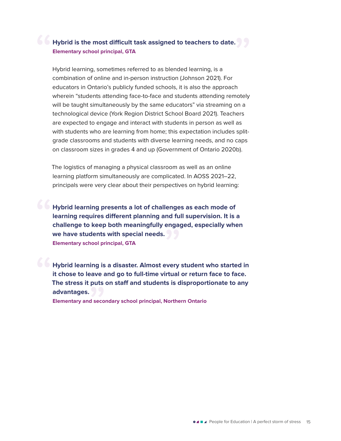### **Hybrid is the most difficult task assigned to teachers to date. Elementary school principal, GTA**

Hybrid learning, sometimes referred to as blended learning, is a combination of online and in-person instruction (Johnson 2021). For educators in Ontario's publicly funded schools, it is also the approach wherein "students attending face-to-face and students attending remotely will be taught simultaneously by the same educators" via streaming on a technological device (York Region District School Board 2021). Teachers are expected to engage and interact with students in person as well as with students who are learning from home; this expectation includes splitgrade classrooms and students with diverse learning needs, and no caps on classroom sizes in grades 4 and up (Government of Ontario 2020b).

The logistics of managing a physical classroom as well as an online learning platform simultaneously are complicated. In AOSS 2021–22, principals were very clear about their perspectives on hybrid learning:

**Hybrid learning presents a lot of challenges as each mode of learning requires different planning and full supervision. It is a challenge to keep both meaningfully engaged, especially when we have students with special needs. Elementary school principal, GTA**

**Hybrid learning is a disaster. Almost every student who started in it chose to leave and go to full-time virtual or return face to face. The stress it puts on staff and students is disproportionate to any advantages.**

**Elementary and secondary school principal, Northern Ontario**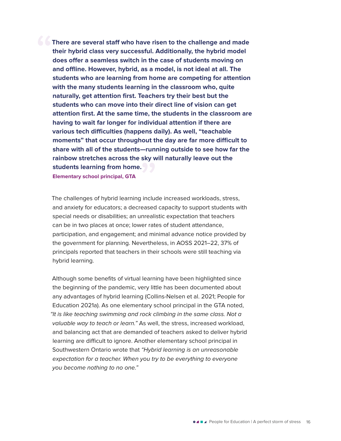**There are several staff who have risen to the challenge and made their hybrid class very successful. Additionally, the hybrid model does offer a seamless switch in the case of students moving on and offline. However, hybrid, as a model, is not ideal at all. The students who are learning from home are competing for attention with the many students learning in the classroom who, quite naturally, get attention first. Teachers try their best but the students who can move into their direct line of vision can get attention first. At the same time, the students in the classroom are having to wait far longer for individual attention if there are various tech difficulties (happens daily). As well, "teachable moments" that occur throughout the day are far more difficult to share with all of the students—running outside to see how far the rainbow stretches across the sky will naturally leave out the students learning from home.**

**Elementary school principal, GTA**

The challenges of hybrid learning include increased workloads, stress, and anxiety for educators; a decreased capacity to support students with special needs or disabilities; an unrealistic expectation that teachers can be in two places at once; lower rates of student attendance, participation, and engagement; and minimal advance notice provided by the government for planning. Nevertheless, in AOSS 2021–22, 37% of principals reported that teachers in their schools were still teaching via hybrid learning.

Although some benefits of virtual learning have been highlighted since the beginning of the pandemic, very little has been documented about any advantages of hybrid learning (Collins-Nelsen et al. 2021; People for Education 2021a). As one elementary school principal in the GTA noted, "It is like teaching swimming and rock climbing in the same class. Not a valuable way to teach or learn." As well, the stress, increased workload, and balancing act that are demanded of teachers asked to deliver hybrid learning are difficult to ignore. Another elementary school principal in Southwestern Ontario wrote that "Hybrid learning is an unreasonable expectation for a teacher. When you try to be everything to everyone you become nothing to no one."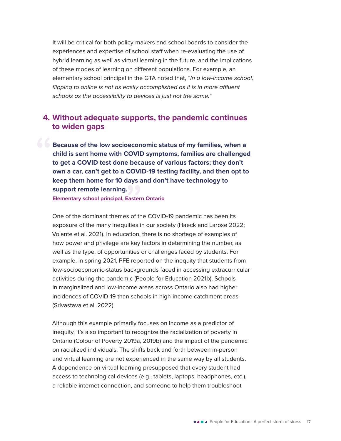<span id="page-20-0"></span>It will be critical for both policy-makers and school boards to consider the experiences and expertise of school staff when re-evaluating the use of hybrid learning as well as virtual learning in the future, and the implications of these modes of learning on different populations. For example, an elementary school principal in the GTA noted that, "In a low-income school, flipping to online is not as easily accomplished as it is in more affluent schools as the accessibility to devices is just not the same."

### **4. Without adequate supports, the pandemic continues to widen gaps**

**Because of the low socioeconomic status of my families, when a child is sent home with COVID symptoms, families are challenged to get a COVID test done because of various factors; they don't own a car, can't get to a COVID-19 testing facility, and then opt to keep them home for 10 days and don't have technology to support remote learning.** 

**Elementary school principal, Eastern Ontario**

One of the dominant themes of the COVID-19 pandemic has been its exposure of the many inequities in our society (Haeck and Larose 2022; Volante et al. 2021). In education, there is no shortage of examples of how power and privilege are key factors in determining the number, as well as the type, of opportunities or challenges faced by students. For example, in spring 2021, PFE reported on the inequity that students from low-socioeconomic-status backgrounds faced in accessing extracurricular activities during the pandemic (People for Education 2021b). Schools in marginalized and low-income areas across Ontario also had higher incidences of COVID-19 than schools in high-income catchment areas (Srivastava et al. 2022).

Although this example primarily focuses on income as a predictor of inequity, it's also important to recognize the racialization of poverty in Ontario (Colour of Poverty 2019a, 2019b) and the impact of the pandemic on racialized individuals. The shifts back and forth between in-person and virtual learning are not experienced in the same way by all students. A dependence on virtual learning presupposed that every student had access to technological devices (e.g., tablets, laptops, headphones, etc.), a reliable internet connection, and someone to help them troubleshoot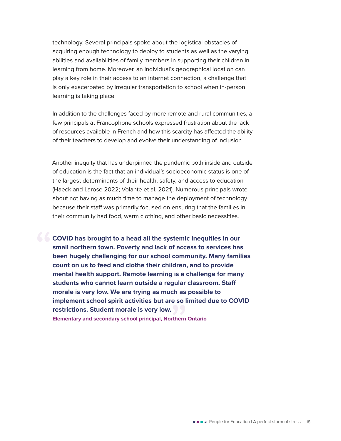technology. Several principals spoke about the logistical obstacles of acquiring enough technology to deploy to students as well as the varying abilities and availabilities of family members in supporting their children in learning from home. Moreover, an individual's geographical location can play a key role in their access to an internet connection, a challenge that is only exacerbated by irregular transportation to school when in-person learning is taking place.

In addition to the challenges faced by more remote and rural communities, a few principals at Francophone schools expressed frustration about the lack of resources available in French and how this scarcity has affected the ability of their teachers to develop and evolve their understanding of inclusion.

Another inequity that has underpinned the pandemic both inside and outside of education is the fact that an individual's socioeconomic status is one of the largest determinants of their health, safety, and access to education (Haeck and Larose 2022; Volante et al. 2021). Numerous principals wrote about not having as much time to manage the deployment of technology because their staff was primarily focused on ensuring that the families in their community had food, warm clothing, and other basic necessities.

**COVID has brought to a head all the systemic inequities in our small northern town. Poverty and lack of access to services has been hugely challenging for our school community. Many families count on us to feed and clothe their children, and to provide mental health support. Remote learning is a challenge for many students who cannot learn outside a regular classroom. Staff morale is very low. We are trying as much as possible to implement school spirit activities but are so limited due to COVID restrictions. Student morale is very low. Elementary and secondary school principal, Northern Ontario**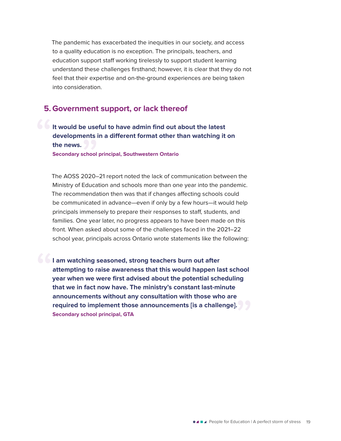<span id="page-22-0"></span>The pandemic has exacerbated the inequities in our society, and access to a quality education is no exception. The principals, teachers, and education support staff working tirelessly to support student learning understand these challenges firsthand; however, it is clear that they do not feel that their expertise and on-the-ground experiences are being taken into consideration.

### **5. Government support, or lack thereof**

**It would be useful to have admin find out about the latest developments in a different format other than watching it on the news.** 

**Secondary school principal, Southwestern Ontario**

The AOSS 2020–21 report noted the lack of communication between the Ministry of Education and schools more than one year into the pandemic. The recommendation then was that if changes affecting schools could be communicated in advance—even if only by a few hours—it would help principals immensely to prepare their responses to staff, students, and families. One year later, no progress appears to have been made on this front. When asked about some of the challenges faced in the 2021–22 school year, principals across Ontario wrote statements like the following:

**I** am watching seasoned, strong teachers burn out after **attempting to raise awareness that this would happen last school year when we were first advised about the potential scheduling that we in fact now have. The ministry's constant last-minute announcements without any consultation with those who are required to implement those announcements [is a challenge]. Secondary school principal, GTA**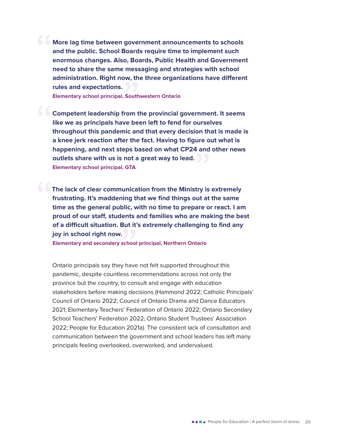**More lag time between government announcements to schools and the public. School Boards require time to implement such enormous changes. Also, Boards, Public Health and Government need to share the same messaging and strategies with school administration. Right now, the three organizations have different rules and expectations.**

**Elementary school principal, Southwestern Ontario**

**Competent leadership from the provincial government. It seems like we as principals have been left to fend for ourselves throughout this pandemic and that every decision that is made is a knee jerk reaction after the fact. Having to figure out what is happening, and next steps based on what CP24 and other news outlets share with us is not a great way to lead. Elementary school principal, GTA**

**The lack of clear communication from the Ministry is extremely frustrating. It's maddening that we find things out at the same time as the general public, with no time to prepare or react. I am proud of our staff, students and families who are making the best of a difficult situation. But it's extremely challenging to find any joy in school right now.**

**Elementary and secondary school principal, Northern Ontario**

Ontario principals say they have not felt supported throughout this pandemic, despite countless recommendations across not only the province but the country, to consult and engage with education stakeholders before making decisions (Hammond 2022; Catholic Principals' Council of Ontario 2022; Council of Ontario Drama and Dance Educators 2021; Elementary Teachers' Federation of Ontario 2022; Ontario Secondary School Teachers' Federation 2022; Ontario Student Trustees' Association 2022; People for Education 2021a). The consistent lack of consultation and communication between the government and school leaders has left many principals feeling overlooked, overworked, and undervalued.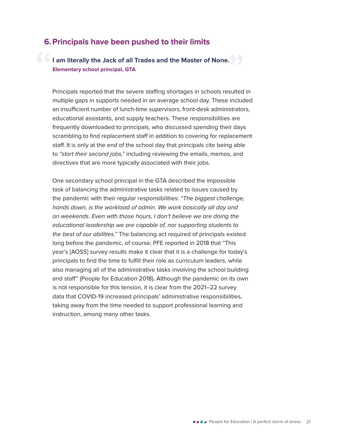### <span id="page-24-0"></span>**6.Principals have been pushed to their limits**

### $\bf 1$  am literally the Jack of all Trades and the Master of None. **Elementary school principal, GTA**

Principals reported that the severe staffing shortages in schools resulted in multiple gaps in supports needed in an average school day. These included an insufficient number of lunch-time supervisors, front-desk administrators, educational assistants, and supply teachers. These responsibilities are frequently downloaded to principals, who discussed spending their days scrambling to find replacement staff in addition to covering for replacement staff. It is only at the end of the school day that principals cite being able to "start their second jobs," including reviewing the emails, memos, and directives that are more typically associated with their jobs.

One secondary school principal in the GTA described the impossible task of balancing the administrative tasks related to issues caused by the pandemic with their regular responsibilities: "The biggest challenge, hands down, is the workload of admin. We work basically all day and on weekends. Even with those hours, I don't believe we are doing the educational leadership we are capable of, nor supporting students to the best of our abilities." The balancing act required of principals existed long before the pandemic, of course; PFE reported in 2018 that "This year's [AOSS] survey results make it clear that it is a challenge for today's principals to find the time to fulfill their role as curriculum leaders, while also managing all of the administrative tasks involving the school building and staff" (People for Education 2018). Although the pandemic on its own is not responsible for this tension, it is clear from the 2021–22 survey data that COVID-19 increased principals' administrative responsibilities, taking away from the time needed to support professional learning and instruction, among many other tasks.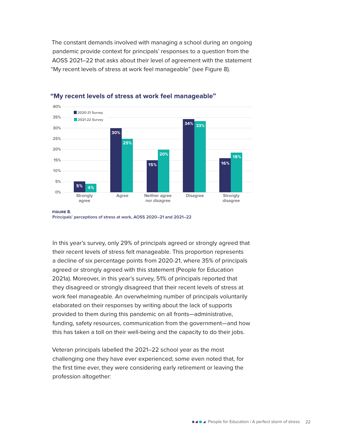The constant demands involved with managing a school during an ongoing pandemic provide context for principals' responses to a question from the AOSS 2021–22 that asks about their level of agreement with the statement "My recent levels of stress at work feel manageable" (see Figure 8).



#### **"My recent levels of stress at work feel manageable"**

**Figure 8. Principals' perceptions of stress at work, AOSS 2020–21 and 2021–22**

In this year's survey, only 29% of principals agreed or strongly agreed that their recent levels of stress felt manageable. This proportion represents a decline of six percentage points from 2020-21, where 35% of principals agreed or strongly agreed with this statement (People for Education 2021a). Moreover, in this year's survey, 51% of principals reported that they disagreed or strongly disagreed that their recent levels of stress at work feel manageable. An overwhelming number of principals voluntarily elaborated on their responses by writing about the lack of supports provided to them during this pandemic on all fronts—administrative, funding, safety resources, communication from the government—and how this has taken a toll on their well-being and the capacity to do their jobs.

Veteran principals labelled the 2021–22 school year as the most challenging one they have ever experienced; some even noted that, for the first time ever, they were considering early retirement or leaving the profession altogether: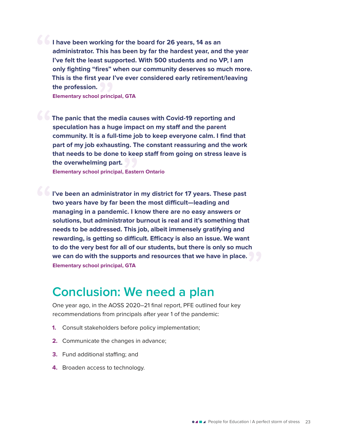<span id="page-26-0"></span>**I have been working for the board for 26 years, 14 as an administrator. This has been by far the hardest year, and the year I've felt the least supported. With 500 students and no VP, I am only fighting "fires" when our community deserves so much more. This is the first year I've ever considered early retirement/leaving the profession.**

**Elementary school principal, GTA**

**The panic that the media causes with Covid-19 reporting and speculation has a huge impact on my staff and the parent community. It is a full-time job to keep everyone calm. I find that part of my job exhausting. The constant reassuring and the work that needs to be done to keep staff from going on stress leave is the overwhelming part.**

**Elementary school principal, Eastern Ontario**

**I've been an administrator in my district for 17 years. These past two years have by far been the most difficult—leading and managing in a pandemic. I know there are no easy answers or solutions, but administrator burnout is real and it's something that needs to be addressed. This job, albeit immensely gratifying and rewarding, is getting so difficult. Efficacy is also an issue. We want to do the very best for all of our students, but there is only so much we can do with the supports and resources that we have in place. Elementary school principal, GTA**

### **Conclusion: We need a plan**

One year ago, in the AOSS 2020–21 final report, PFE outlined four key recommendations from principals after year 1 of the pandemic:

- **1.** Consult stakeholders before policy implementation;
- **2.** Communicate the changes in advance;
- **3.** Fund additional staffing; and
- **4.** Broaden access to technology.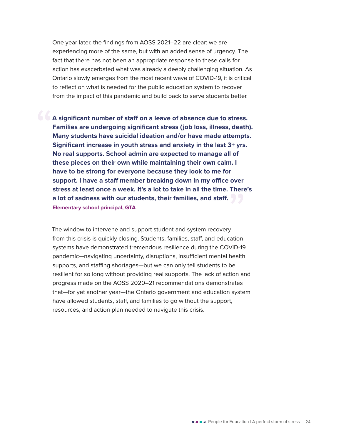One year later, the findings from AOSS 2021–22 are clear: we are experiencing more of the same, but with an added sense of urgency. The fact that there has not been an appropriate response to these calls for action has exacerbated what was already a deeply challenging situation. As Ontario slowly emerges from the most recent wave of COVID-19, it is critical to reflect on what is needed for the public education system to recover from the impact of this pandemic and build back to serve students better.

**A significant number of staff on a leave of absence due to stress. Families are undergoing significant stress (job loss, illness, death). Many students have suicidal ideation and/or have made attempts. Significant increase in youth stress and anxiety in the last 3+ yrs. No real supports. School admin are expected to manage all of these pieces on their own while maintaining their own calm. I have to be strong for everyone because they look to me for support. I have a staff member breaking down in my office over stress at least once a week. It's a lot to take in all the time. There's a lot of sadness with our students, their families, and staff. Elementary school principal, GTA**

The window to intervene and support student and system recovery from this crisis is quickly closing. Students, families, staff, and education systems have demonstrated tremendous resilience during the COVID-19 pandemic—navigating uncertainty, disruptions, insufficient mental health supports, and staffing shortages—but we can only tell students to be resilient for so long without providing real supports. The lack of action and progress made on the AOSS 2020–21 recommendations demonstrates that—for yet another year—the Ontario government and education system have allowed students, staff, and families to go without the support, resources, and action plan needed to navigate this crisis.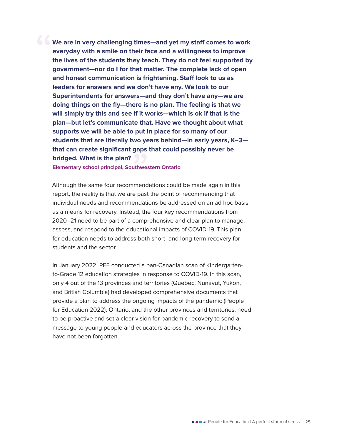**We are in very challenging times—and yet my staff comes to work everyday with a smile on their face and a willingness to improve the lives of the students they teach. They do not feel supported by government—nor do I for that matter. The complete lack of open and honest communication is frightening. Staff look to us as leaders for answers and we don't have any. We look to our Superintendents for answers—and they don't have any—we are doing things on the fly—there is no plan. The feeling is that we will simply try this and see if it works—which is ok if that is the plan—but let's communicate that. Have we thought about what supports we will be able to put in place for so many of our students that are literally two years behind—in early years, K–3 that can create significant gaps that could possibly never be bridged. What is the plan?** 

**Elementary school principal, Southwestern Ontario**

Although the same four recommendations could be made again in this report, the reality is that we are past the point of recommending that individual needs and recommendations be addressed on an ad hoc basis as a means for recovery. Instead, the four key recommendations from 2020–21 need to be part of a comprehensive and clear plan to manage, assess, and respond to the educational impacts of COVID-19. This plan for education needs to address both short- and long-term recovery for students and the sector.

In January 2022, PFE conducted a pan-Canadian scan of Kindergartento-Grade 12 education strategies in response to COVID-19. In this scan, only 4 out of the 13 provinces and territories (Quebec, Nunavut, Yukon, and British Columbia) had developed comprehensive documents that provide a plan to address the ongoing impacts of the pandemic (People for Education 2022). Ontario, and the other provinces and territories, need to be proactive and set a clear vision for pandemic recovery to send a message to young people and educators across the province that they have not been forgotten.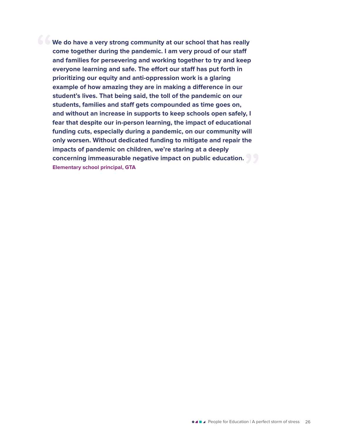**We do have a very strong community at our school that has really come together during the pandemic. I am very proud of our staff and families for persevering and working together to try and keep everyone learning and safe. The effort our staff has put forth in prioritizing our equity and anti-oppression work is a glaring example of how amazing they are in making a difference in our student's lives. That being said, the toll of the pandemic on our students, families and staff gets compounded as time goes on, and without an increase in supports to keep schools open safely, I fear that despite our in-person learning, the impact of educational funding cuts, especially during a pandemic, on our community will only worsen. Without dedicated funding to mitigate and repair the impacts of pandemic on children, we're staring at a deeply concerning immeasurable negative impact on public education. Elementary school principal, GTA**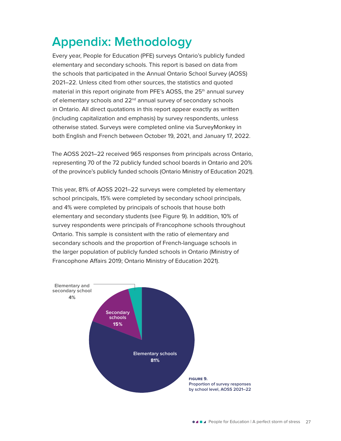## <span id="page-30-0"></span>**Appendix: Methodology**

Every year, People for Education (PFE) surveys Ontario's publicly funded elementary and secondary schools. This report is based on data from the schools that participated in the Annual Ontario School Survey (AOSS) 2021–22. Unless cited from other sources, the statistics and quoted material in this report originate from PFE's AOSS, the 25<sup>th</sup> annual survey of elementary schools and 22<sup>nd</sup> annual survey of secondary schools in Ontario. All direct quotations in this report appear exactly as written (including capitalization and emphasis) by survey respondents, unless otherwise stated. Surveys were completed online via SurveyMonkey in both English and French between October 19, 2021, and January 17, 2022.

The AOSS 2021–22 received 965 responses from principals across Ontario, representing 70 of the 72 publicly funded school boards in Ontario and 20% of the province's publicly funded schools (Ontario Ministry of Education 2021).

This year, 81% of AOSS 2021–22 surveys were completed by elementary school principals, 15% were completed by secondary school principals, and 4% were completed by principals of schools that house both elementary and secondary students (see Figure 9). In addition, 10% of survey respondents were principals of Francophone schools throughout Ontario. This sample is consistent with the ratio of elementary and secondary schools and the proportion of French-language schools in the larger population of publicly funded schools in Ontario (Ministry of Francophone Affairs 2019; Ontario Ministry of Education 2021).

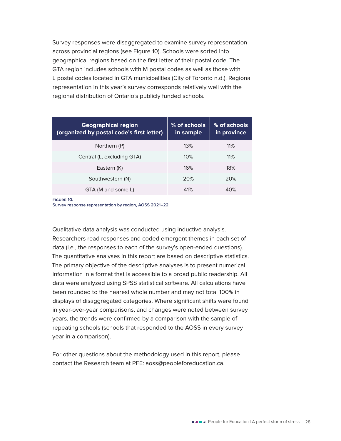Survey responses were disaggregated to examine survey representation across provincial regions (see Figure 10). Schools were sorted into geographical regions based on the first letter of their postal code. The GTA region includes schools with M postal codes as well as those with L postal codes located in GTA municipalities (City of Toronto n.d.). Regional representation in this year's survey corresponds relatively well with the regional distribution of Ontario's publicly funded schools.

| <b>Geographical region</b><br>(organized by postal code's first letter) | % of schools<br>in sample | % of schools<br>in province |
|-------------------------------------------------------------------------|---------------------------|-----------------------------|
| Northern (P)                                                            | 13%                       | 11%                         |
| Central (L, excluding GTA)                                              | 10%                       | 11%                         |
| Eastern (K)                                                             | 16%                       | 18%                         |
| Southwestern (N)                                                        | 20%                       | 20%                         |
| GTA (M and some L)                                                      | 41%                       | 40%                         |

**Figure 10.**

**Survey response representation by region, AOSS 2021–22**

Qualitative data analysis was conducted using inductive analysis. Researchers read responses and coded emergent themes in each set of data (i.e., the responses to each of the survey's open-ended questions). The quantitative analyses in this report are based on descriptive statistics. The primary objective of the descriptive analyses is to present numerical information in a format that is accessible to a broad public readership. All data were analyzed using SPSS statistical software. All calculations have been rounded to the nearest whole number and may not total 100% in displays of disaggregated categories. Where significant shifts were found in year-over-year comparisons, and changes were noted between survey years, the trends were confirmed by a comparison with the sample of repeating schools (schools that responded to the AOSS in every survey year in a comparison).

For other questions about the methodology used in this report, please contact the Research team at PFE: aoss@peopleforeducation.ca.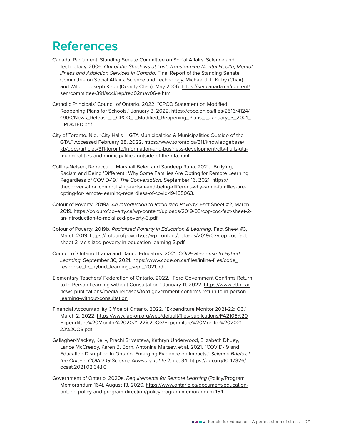## <span id="page-32-0"></span>**References**

- Canada. Parliament. Standing Senate Committee on Social Affairs, Science and Technology. 2006. Out of the Shadows at Last: Transforming Mental Health, Mental Illness and Addiction Services in Canada. Final Report of the Standing Senate Committee on Social Affairs, Science and Technology. Michael J. L. Kirby (Chair) and Wilbert Joseph Keon (Deputy Chair). May 2006. https://sencanada.ca/content/ sen/committee/391/soci/rep/rep02may06-e.htm.
- Catholic Principals' Council of Ontario. 2022. "CPCO Statement on Modified Reopening Plans for Schools." January 3, 2022. https://cpco.on.ca/files/2516/4124/ 4900/News\_Release\_-\_CPCO\_-\_Modified\_Reopening\_Plans\_-\_January\_3\_2021\_ UPDATED.pdf.
- City of Toronto. N.d. "City Halls GTA Municipalities & Municipalities Outside of the GTA." Accessed February 28, 2022. https://www.toronto.ca/311/knowledgebase/ kb/docs/articles/311-toronto/information-and-business-development/city-halls-gtamunicipalities-and-municipalities-outside-of-the-gta.html.
- Collins-Nelsen, Rebecca, J. Marshall Beier, and Sandeep Raha. 2021. "Bullying, Racism and Being 'Different': Why Some Families Are Opting for Remote Learning Regardless of COVID-19." The Conversation, September 16, 2021. https:// theconversation.com/bullying-racism-and-being-different-why-some-families-areopting-for-remote-learning-regardless-of-covid-19-165063.
- Colour of Poverty. 2019a. An Introduction to Racialized Poverty. Fact Sheet #2, March 2019. https://colourofpoverty.ca/wp-content/uploads/2019/03/cop-coc-fact-sheet-2 an-introduction-to-racialized-poverty-3.pdf.
- Colour of Poverty. 2019b. Racialized Poverty in Education & Learning. Fact Sheet #3, March 2019. https://colourofpoverty.ca/wp-content/uploads/2019/03/cop-coc-factsheet-3-racialized-poverty-in-education-learning-3.pdf.
- Council of Ontario Drama and Dance Educators. 2021. CODE Response to Hybrid Learning. September 30, 2021. https://www.code.on.ca/files/inline-files/code\_ response\_to\_hybrid\_learning\_sept\_2021.pdf.
- Elementary Teachers' Federation of Ontario. 2022. "Ford Government Confirms Return to In-Person Learning without Consultation." January 11, 2022. https://www.etfo.ca/ news-publications/media-releases/ford-government-confirms-return-to-in-personlearning-without-consultation.
- Financial Accountability Office of Ontario. 2022. "Expenditure Monitor 2021-22: Q3." March 2, 2022. https://www.fao-on.org/web/default/files/publications/FA2106%20 Expenditure%20Monitor%202021-22%20Q3/Expenditure%20Monitor%202021- 22%20Q3.pdf
- Gallagher-Mackay, Kelly, Prachi Srivastava, Kathryn Underwood, Elizabeth Dhuey, Lance McCready, Karen B. Born, Antonina Maltsev, et al. 2021. "COVID-19 and Education Disruption in Ontario: Emerging Evidence on Impacts." Science Briefs of the Ontario COVID-19 Science Advisory Table 2, no. 34. https://doi.org/10.47326/ ocsat.2021.02.34.1.0.
- Government of Ontario. 2020a. Requirements for Remote Learning (Policy/Program Memorandum 164). August 13, 2020. https://www.ontario.ca/document/educationontario-policy-and-program-direction/policyprogram-memorandum-164.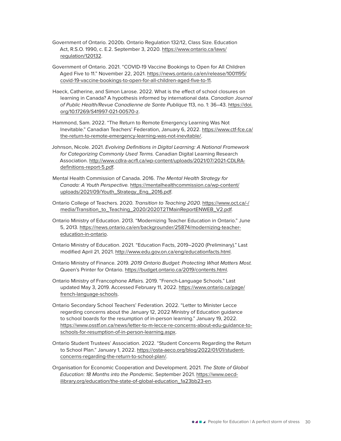Government of Ontario. 2020b. Ontario Regulation 132/12, Class Size. Education Act, R.S.O. 1990, c. E.2. September 3, 2020. https://www.ontario.ca/laws/ regulation/120132.

- Government of Ontario. 2021. "COVID-19 Vaccine Bookings to Open for All Children Aged Five to 11." November 22, 2021. https://news.ontario.ca/en/release/1001195/ covid-19-vaccine-bookings-to-open-for-all-children-aged-five-to-11.
- Haeck, Catherine, and Simon Larose. 2022. What is the effect of school closures on learning in Canada? A hypothesis informed by international data. Canadian Journal of Public Health/Revue Canadienne de Sante Publique 113, no. 1: 36–43. https://doi. org/10.17269/S41997-021-00570-z.
- Hammond, Sam. 2022. "The Return to Remote Emergency Learning Was Not Inevitable." Canadian Teachers' Federation, January 6, 2022. https://www.ctf-fce.ca/ the-return-to-remote-emergency-learning-was-not-inevitable/.
- Johnson, Nicole. 2021. Evolving Definitions in Digital Learning: A National Framework for Categorizing Commonly Used Terms. Canadian Digital Learning Research Association. http://www.cdlra-acrfl.ca/wp-content/uploads/2021/07/2021-CDLRAdefinitions-report-5.pdf.
- Mental Health Commission of Canada. 2016. The Mental Health Strategy for Canada: A Youth Perspective. https://mentalhealthcommission.ca/wp-content/ uploads/2021/09/Youth\_Strategy\_Eng\_2016.pdf.
- Ontario College of Teachers. 2020. Transition to Teaching 2020. https://www.oct.ca/-/ media/Transition\_to\_Teaching\_2020/2020T2TMainReportENWEB\_V2.pdf.
- Ontario Ministry of Education. 2013. "Modernizing Teacher Education in Ontario." June 5, 2013. https://news.ontario.ca/en/backgrounder/25874/modernizing-teachereducation-in-ontario.
- Ontario Ministry of Education. 2021. "Education Facts, 2019–2020 (Preliminary)." Last modified April 21, 2021. http://www.edu.gov.on.ca/eng/educationfacts.html.
- Ontario Ministry of Finance. 2019. 2019 Ontario Budget: Protecting What Matters Most. Queen's Printer for Ontario. https://budget.ontario.ca/2019/contents.html.
- Ontario Ministry of Francophone Affairs. 2019. "French-Language Schools." Last updated May 3, 2019. Accessed February 11, 2022. https://www.ontario.ca/page/ french-language-schools.
- Ontario Secondary School Teachers' Federation. 2022. "Letter to Minister Lecce regarding concerns about the January 12, 2022 Ministry of Education guidance to school boards for the resumption of in-person learning." January 19, 2022. https://www.osstf.on.ca/news/letter-to-m-lecce-re-concerns-about-edu-guidance-toschools-for-resumption-of-in-person-learning.aspx.
- Ontario Student Trustees' Association. 2022. "Student Concerns Regarding the Return to School Plan." January 1, 2022. https://osta-aeco.org/blog/2022/01/01/studentconcerns-regarding-the-return-to-school-plan/.
- Organisation for Economic Cooperation and Development. 2021. The State of Global Education: 18 Months into the Pandemic. September 2021. https://www.oecdilibrary.org/education/the-state-of-global-education\_1a23bb23-en.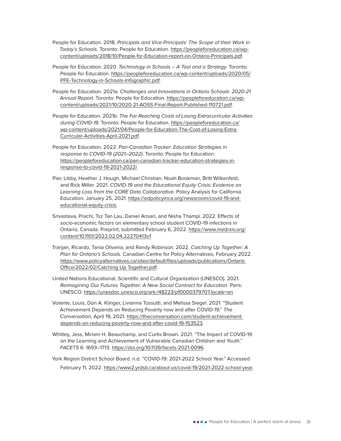People for Education. 2018. Principals and Vice-Principals: The Scope of their Work in Today's Schools. Toronto: People for Education. https://peopleforeducation.ca/wpcontent/uploads/2018/10/People-for-Education-report-on-Ontario-Principals.pdf.

- People for Education. 2020. Technology in Schools A Tool and a Strategy. Toronto: People for Education. https://peopleforeducation.ca/wp-content/uploads/2020/05/ PFE-Technology-in-Schools-Infographic.pdf.
- People for Education. 2021a. Challenges and Innovations in Ontario Schools: 2020-21 Annual Report. Toronto: People for Education. https://peopleforeducation.ca/wpcontent/uploads/2021/10/2020-21-AOSS-Final-Report-Published-110721.pdf.
- People for Education. 2021b. The Far-Reaching Costs of Losing Extracurricular Activities during COVID-19. Toronto: People for Education. https://peopleforeducation.ca/ wp-content/uploads/2021/04/People-for-Education-The-Cost-of-Losing-Extra-Curricular-Activities-April-2021.pdf.
- People for Education. 2022. Pan-Canadian Tracker: Education Strategies in response to COVID-19 (2021–2022). Toronto: People for Education. https://peopleforeducation.ca/pan-canadian-tracker-education-strategies-inresponse-to-covid-19-2021-2022/
- Pier, Libby, Heather J. Hough, Michael Christian, Noah Bookman, Britt Wilkenfeld, and Rick Miller. 2021. COVID-19 and the Educational Equity Crisis: Evidence on Learning Loss from the CORE Data Collaborative. Policy Analysis for California Education. January 25, 2021. https://edpolicyinca.org/newsroom/covid-19-andeducational-equity-crisis.
- Srivastava, Prachi, Tsz Tan Lau, Daniel Ansari, and Nisha Thampi. 2022. Effects of socio-economic factors on elementary school student COVID-19 infections in Ontario, Canada. Preprint, submitted February 6, 2022. https://www.medrxiv.org/ content/10.1101/2022.02.04.22270413v1
- Tranjan, Ricardo, Tania Oliveira, and Randy Robinson. 2022. Catching Up Together: A Plan for Ontario's Schools. Canadian Centre for Policy Alternatives. February 2022. https://www.policyalternatives.ca/sites/default/files/uploads/publications/Ontario Office/2022/02/Catching Up Together.pdf.
- United Nations Educational, Scientific and Cultural Organization (UNESCO). 2021. Reimagining Our Futures Together: A New Social Contract for Education. Paris: UNESCO. https://unesdoc.unesco.org/ark:/48223/pf0000379707.locale=en
- Volante, Louis, Don A. Klinger, Livianna Tossutti, and Melissa Siegel. 2021. "Student Achievement Depends on Reducing Poverty now and after COVID-19." The Conversation, April 19, 2021. https://theconversation.com/student-achievementdepends-on-reducing-poverty-now-and-after-covid-19-153523.
- Whitley, Jess, Miriam H. Beauchamp, and Curtis Brown. 2021. "The Impact of COVID-19 on the Learning and Achievement of Vulnerable Canadian Children and Youth." FACETS 6: 1693–1713. https://doi.org/10.1139/facets-2021-0096.
- York Region District School Board. n.d. "COVID-19: 2021-2022 School Year." Accessed February 11, 2022. https://www2.yrdsb.ca/about-us/covid-19/2021-2022-school-year.